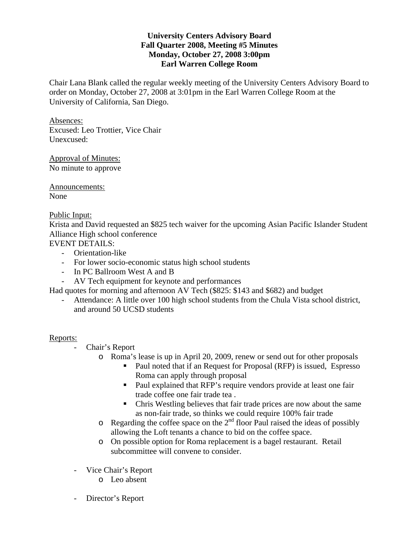# **University Centers Advisory Board Fall Quarter 2008, Meeting #5 Minutes Monday, October 27, 2008 3:00pm Earl Warren College Room**

Chair Lana Blank called the regular weekly meeting of the University Centers Advisory Board to order on Monday, October 27, 2008 at 3:01pm in the Earl Warren College Room at the University of California, San Diego.

Absences: Excused: Leo Trottier, Vice Chair Unexcused:

Approval of Minutes: No minute to approve

Announcements: None

### Public Input:

Krista and David requested an \$825 tech waiver for the upcoming Asian Pacific Islander Student Alliance High school conference

EVENT DETAILS:

- Orientation-like
- For lower socio-economic status high school students
- In PC Ballroom West A and B
- AV Tech equipment for keynote and performances

Had quotes for morning and afternoon AV Tech (\$825: \$143 and \$682) and budget

Attendance: A little over 100 high school students from the Chula Vista school district, and around 50 UCSD students

### Reports:

Chair's Report

- o Roma's lease is up in April 20, 2009, renew or send out for other proposals
	- Paul noted that if an Request for Proposal (RFP) is issued, Espresso Roma can apply through proposal
	- Paul explained that RFP's require vendors provide at least one fair trade coffee one fair trade tea .
	- Chris Westling believes that fair trade prices are now about the same as non-fair trade, so thinks we could require 100% fair trade
- $\circ$  Regarding the coffee space on the  $2<sup>nd</sup>$  floor Paul raised the ideas of possibly allowing the Loft tenants a chance to bid on the coffee space.
- o On possible option for Roma replacement is a bagel restaurant. Retail subcommittee will convene to consider.
- Vice Chair's Report
	- o Leo absent
- Director's Report